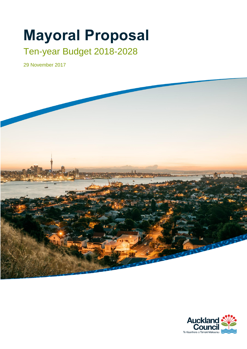# **Mayoral Proposal**

## Ten-year Budget 2018-2028

29 November 2017



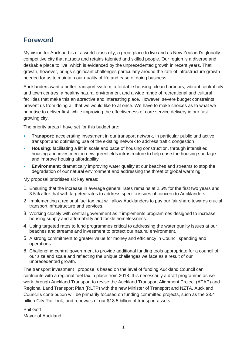## **Foreword**

My vision for Auckland is of a world-class city, a great place to live and as New Zealand's globally competitive city that attracts and retains talented and skilled people. Our region is a diverse and desirable place to live, which is evidenced by the unprecedented growth in recent years. That growth, however, brings significant challenges particularly around the rate of infrastructure growth needed for us to maintain our quality of life and ease of doing business.

Aucklanders want a better transport system, affordable housing, clean harbours, vibrant central city and town centres, a healthy natural environment and a wide range of recreational and cultural facilities that make this an attractive and interesting place. However, severe budget constraints prevent us from doing all that we would like to at once. We have to make choices as to what we prioritise to deliver first, while improving the effectiveness of core service delivery in our fastgrowing city.

The priority areas I have set for this budget are:

- **Transport:** accelerating investment in our transport network, in particular public and active transport and optimising use of the existing network to address traffic congestion
- **Housing:** facilitating a lift in scale and pace of housing construction, through intensified housing and investment in new greenfields infrastructure to help ease the housing shortage and improve housing affordability
- **Environment:** dramatically improving water quality at our beaches and streams to stop the degradation of our natural environment and addressing the threat of global warming.

My proposal prioritises six key areas:

- 1. Ensuring that the increase in average general rates remains at 2.5% for the first two years and 3.5% after that with targeted rates to address specific issues of concern to Aucklanders.
- 2. Implementing a regional fuel tax that will allow Aucklanders to pay our fair share towards crucial transport infrastructure and services.
- 3. Working closely with central government as it implements programmes designed to increase housing supply and affordability and tackle homelessness.
- 4. Using targeted rates to fund programmes critical to addressing the water quality issues at our beaches and streams and investment to protect our natural environment.
- 5. A strong commitment to greater value for money and efficiency in Council spending and operations.
- 6. Challenging central government to provide additional funding tools appropriate for a council of our size and scale and reflecting the unique challenges we face as a result of our unprecedented growth.

The transport investment I propose is based on the level of funding Auckland Council can contribute with a regional fuel tax in place from 2018. It is necessarily a draft programme as we work through Auckland Transport to revise the Auckland Transport Alignment Project (ATAP) and Regional Land Transport Plan (RLTP) with the new Minister of Transport and NZTA. Auckland Council's contribution will be primarily focused on funding committed projects, such as the \$3.4 billion City Rail Link, and renewals of our \$18.5 billion of transport assets.

Phil Goff Mayor of Auckland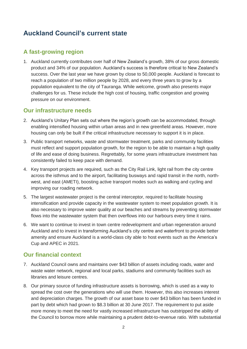## **Auckland Council's current state**

## **A fast-growing region**

1. Auckland currently contributes over half of New Zealand's growth, 38% of our gross domestic product and 34% of our population. Auckland's success is therefore critical to New Zealand's success. Over the last year we have grown by close to 50,000 people. Auckland is forecast to reach a population of two million people by 2028, and every three years to grow by a population equivalent to the city of Tauranga. While welcome, growth also presents major challenges for us. These include the high cost of housing, traffic congestion and growing pressure on our environment.

## **Our infrastructure needs**

- 2. Auckland's Unitary Plan sets out where the region's growth can be accommodated, through enabling intensified housing within urban areas and in new greenfield areas. However, more housing can only be built if the critical infrastructure necessary to support it is in place.
- 3. Public transport networks, waste and stormwater treatment, parks and community facilities must reflect and support population growth, for the region to be able to maintain a high quality of life and ease of doing business. Regrettably, for some years infrastructure investment has consistently failed to keep pace with demand.
- 4. Key transport projects are required, such as the City Rail Link, light rail from the city centre across the isthmus and to the airport, facilitating busways and rapid transit in the north, northwest, and east (AMETI), boosting active transport modes such as walking and cycling and improving our roading network.
- 5. The largest wastewater project is the central interceptor, required to facilitate housing intensification and provide capacity in the wastewater system to meet population growth. It is also necessary to improve water quality at our beaches and streams by preventing stormwater flows into the wastewater system that then overflows into our harbours every time it rains.
- 6. We want to continue to invest in town centre redevelopment and urban regeneration around Auckland and to invest in transforming Auckland's city centre and waterfront to provide better amenity and ensure Auckland is a world-class city able to host events such as the America's Cup and APEC in 2021.

## **Our financial context**

- 7. Auckland Council owns and maintains over \$43 billion of assets including roads, water and waste water network, regional and local parks, stadiums and community facilities such as libraries and leisure centres.
- 8. Our primary source of funding infrastructure assets is borrowing, which is used as a way to spread the cost over the generations who will use them. However, this also increases interest and depreciation charges. The growth of our asset base to over \$43 billion has been funded in part by debt which had grown to \$8.3 billion at 30 June 2017. The requirement to put aside more money to meet the need for vastly increased infrastructure has outstripped the ability of the Council to borrow more while maintaining a prudent debt-to-revenue ratio. With substantial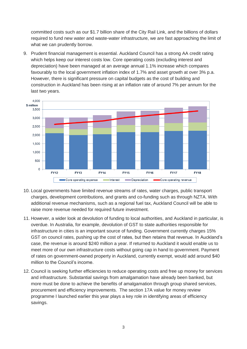committed costs such as our \$1.7 billion share of the City Rail Link, and the billions of dollars required to fund new water and waste-water infrastructure, we are fast approaching the limit of what we can prudently borrow.

9. Prudent financial management is essential. Auckland Council has a strong AA credit rating which helps keep our interest costs low. Core operating costs (excluding interest and depreciation) have been managed at an average annual 1.1% increase which compares favourably to the local government inflation index of 1.7% and asset growth at over 3% p.a. However, there is significant pressure on capital budgets as the cost of building and construction in Auckland has been rising at an inflation rate of around 7% per annum for the last two years.



- 10. Local governments have limited revenue streams of rates, water charges, public transport charges, development contributions, and grants and co-funding such as through NZTA. With additional revenue mechanisms, such as a regional fuel tax, Auckland Council will be able to raise more revenue needed for required future investment.
- 11. However, a wider look at devolution of funding to local authorities, and Auckland in particular, is overdue. In Australia, for example, devolution of GST to state authorities responsible for infrastructure in cities is an important source of funding. Government currently charges 15% GST on council rates, pushing up the cost of rates, but then retains that revenue. In Auckland's case, the revenue is around \$240 million a year. If returned to Auckland it would enable us to meet more of our own infrastructure costs without going cap in hand to government. Payment of rates on government-owned property in Auckland, currently exempt, would add around \$40 million to the Council's income.
- 12. Council is seeking further efficiencies to reduce operating costs and free up money for services and infrastructure. Substantial savings from amalgamation have already been banked, but more must be done to achieve the benefits of amalgamation through group shared services, procurement and efficiency improvements. The section 17A value for money review programme I launched earlier this year plays a key role in identifying areas of efficiency savings.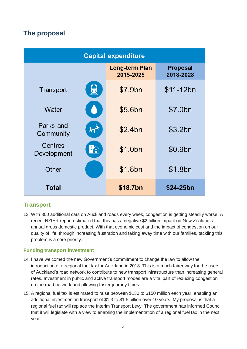## **The proposal**

| <b>Capital expenditure</b>              |                                    |                              |  |
|-----------------------------------------|------------------------------------|------------------------------|--|
|                                         | <b>Long-term Plan</b><br>2015-2025 | <b>Proposal</b><br>2018-2028 |  |
| 良<br>Transport                          | \$7.9bn                            | \$11-12bn                    |  |
| Water                                   | \$5.6bn                            | \$7.0bn                      |  |
| Parks and<br>ት $^{\prime}$<br>Community | \$2.4bn                            | \$3.2bn                      |  |
| Centres<br>FÂ<br>Development            | \$1.0bn                            | \$0.9bn                      |  |
| Other                                   | \$1.8bn                            | \$1.8bn                      |  |
| Total                                   | \$18.7bn                           | \$24-25bn                    |  |

## **Transport**

13. With 800 additional cars on Auckland roads every week, congestion is getting steadily worse. A recent NZIER report estimated that this has a negative \$2 billion impact on New Zealand's annual gross domestic product. With that economic cost and the impact of congestion on our quality of life, through increasing frustration and taking away time with our families, tackling this problem is a core priority.

#### **Funding transport investment**

- 14. I have welcomed the new Government's commitment to change the law to allow the introduction of a regional fuel tax for Auckland in 2018. This is a much fairer way for the users of Auckland's road network to contribute to new transport infrastructure than increasing general rates. Investment in public and active transport modes are a vital part of reducing congestion on the road network and allowing faster journey times.
- 15. A regional fuel tax is estimated to raise between \$130 to \$150 million each year, enabling an additional investment in transport of \$1.3 to \$1.5 billion over 10 years. My proposal is that a regional fuel tax will replace the Interim Transport Levy. The government has informed Council that it will legislate with a view to enabling the implementation of a regional fuel tax in the next year.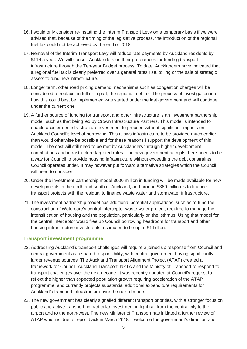- 16. I would only consider re-instating the Interim Transport Levy on a temporary basis if we were advised that, because of the timing of the legislative process, the introduction of the regional fuel tax could not be achieved by the end of 2018.
- 17. Removal of the Interim Transport Levy will reduce rate payments by Auckland residents by \$114 a year. We will consult Aucklanders on their preferences for funding transport infrastructure through the Ten-year Budget process. To date, Aucklanders have indicated that a regional fuel tax is clearly preferred over a general rates rise, tolling or the sale of strategic assets to fund new infrastructure.
- 18. Longer term, other road pricing demand mechanisms such as congestion charges will be considered to replace, in full or in part, the regional fuel tax. The process of investigation into how this could best be implemented was started under the last government and will continue under the current one.
- 19. A further source of funding for transport and other infrastructure is an investment partnership model, such as that being led by Crown Infrastructure Partners. This model is intended to enable accelerated infrastructure investment to proceed without significant impacts on Auckland Council's level of borrowing. This allows infrastructure to be provided much earlier than would otherwise be possible and for these reasons I support the development of this model. The cost will still need to be met by Aucklanders through higher development contributions and infrastructure targeted rates. The new government accepts there needs to be a way for Council to provide housing infrastructure without exceeding the debt constraints Council operates under. It may however put forward alternative strategies which the Council will need to consider.
- 20. Under the investment partnership model \$600 million in funding will be made available for new developments in the north and south of Auckland, and around \$360 million is to finance transport projects with the residual to finance waste water and stormwater infrastructure.
- 21. The investment partnership model has additional potential applications, such as to fund the construction of Watercare's central interceptor waste water project, required to manage the intensification of housing and the population, particularly on the isthmus. Using that model for the central interceptor would free up Council borrowing headroom for transport and other housing infrastructure investments, estimated to be up to \$1 billion.

#### **Transport investment programme**

- 22. Addressing Auckland's transport challenges will require a joined up response from Council and central government as a shared responsibility, with central government having significantly larger revenue sources. The Auckland Transport Alignment Project (ATAP) created a framework for Council, Auckland Transport, NZTA and the Ministry of Transport to respond to transport challenges over the next decade. It was recently updated at Council's request to reflect the higher than expected population growth requiring acceleration of the ATAP programme, and currently projects substantial additional expenditure requirements for Auckland's transport infrastructure over the next decade.
- 23. The new government has clearly signalled different transport priorities, with a stronger focus on public and active transport, in particular investment in light rail from the central city to the airport and to the north-west. The new Minister of Transport has initiated a further review of ATAP which is due to report back in March 2018. I welcome the government's direction and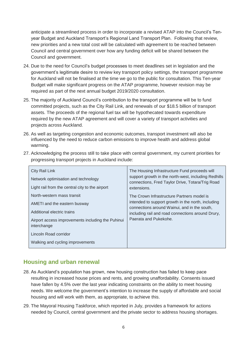anticipate a streamlined process in order to incorporate a revised ATAP into the Council's Tenyear Budget and Auckland Transport's Regional Land Transport Plan. Following that review, new priorities and a new total cost will be calculated with agreement to be reached between Council and central government over how any funding deficit will be shared between the Council and government.

- 24. Due to the need for Council's budget processes to meet deadlines set in legislation and the government's legitimate desire to review key transport policy settings, the transport programme for Auckland will not be finalised at the time we go to the public for consultation. This Ten-year Budget will make significant progress on the ATAP programme, however revision may be required as part of the next annual budget 2019/2020 consultation.
- 25. The majority of Auckland Council's contribution to the transport programme will be to fund committed projects, such as the City Rail Link, and renewals of our \$18.5 billion of transport assets. The proceeds of the regional fuel tax will be hypothecated towards expenditure required by the new ATAP agreement and will cover a variety of transport activities and projects across Auckland.
- 26. As well as targeting congestion and economic outcomes, transport investment will also be influenced by the need to reduce carbon emissions to improve health and address global warming.
- 27. Acknowledging the process still to take place with central government, my current priorities for progressing transport projects in Auckland include:

| City Rail Link<br>Network optimisation and technology<br>Light rail from the central city to the airport                                                                                                                  | The Housing Infrastructure Fund proceeds will<br>support growth in the north-west, including Redhills<br>connections, Fred Taylor Drive, Totara/Trig Road<br>extensions.                                                       |
|---------------------------------------------------------------------------------------------------------------------------------------------------------------------------------------------------------------------------|--------------------------------------------------------------------------------------------------------------------------------------------------------------------------------------------------------------------------------|
| North-western mass transit<br>AMETI and the eastern busway<br>Additional electric trains<br>Airport access improvements including the Puhinui<br>interchange<br>Lincoln Road corridor<br>Walking and cycling improvements | The Crown Infrastructure Partners model is<br>intended to support growth in the north, including<br>connections around Wainui, and in the south,<br>including rail and road connections around Drury,<br>Paerata and Pukekohe. |

## **Housing and urban renewal**

- 28. As Auckland's population has grown, new housing construction has failed to keep pace resulting in increased house prices and rents, and growing unaffordability. Consents issued have fallen by 4.5% over the last year indicating constraints on the ability to meet housing needs. We welcome the government's intention to increase the supply of affordable and social housing and will work with them, as appropriate, to achieve this.
- 29. The Mayoral Housing Taskforce, which reported in July, provides a framework for actions needed by Council, central government and the private sector to address housing shortages.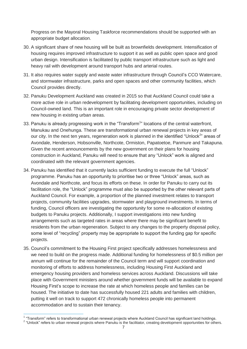Progress on the Mayoral Housing Taskforce recommendations should be supported with an appropriate budget allocation.

- 30. A significant share of new housing will be built as brownfields development. Intensification of housing requires improved infrastructure to support it as well as public open space and good urban design. Intensification is facilitated by public transport infrastructure such as light and heavy rail with development around transport hubs and arterial routes.
- 31. It also requires water supply and waste water infrastructure through Council's CCO Watercare, and stormwater infrastructure, parks and open spaces and other community facilities, which Council provides directly.
- 32. Panuku Development Auckland was created in 2015 so that Auckland Council could take a more active role in urban redevelopment by facilitating development opportunities, including on Council-owned land. This is an important role in encouraging private sector development of new housing in existing urban areas.
- 33. Panuku is already progressing work in the "Transform<sup>1</sup>" locations of the central waterfront, Manukau and Onehunga. These are transformational urban renewal projects in key areas of our city. In the next ten years, regeneration work is planned in the identified "Unlock<sup>2</sup>" areas of Avondale, Henderson, Hobsonville, Northcote, Ormiston, Papatoetoe, Panmure and Takapuna. Given the recent announcements by the new government on their plans for housing construction in Auckland, Panuku will need to ensure that any "Unlock" work is aligned and coordinated with the relevant government agencies.
- 34. Panuku has identified that it currently lacks sufficient funding to execute the full "Unlock" programme. Panuku has an opportunity to prioritise two or three "Unlock" areas, such as Avondale and Northcote, and focus its efforts on these. In order for Panuku to carry out its facilitation role, the "Unlock" programme must also be supported by the other relevant parts of Auckland Council. For example, a proportion of the planned investment relates to transport projects, community facilities upgrades, stormwater and playground investments. In terms of funding, Council officers are investigating the opportunity for some re-allocation of existing budgets to Panuku projects. Additionally, I support investigations into new funding arrangements such as targeted rates in areas where there may be significant benefit to residents from the urban regeneration. Subject to any changes to the property disposal policy, some level of "recycling" property may be appropriate to support the funding gap for specific projects.
- 35. Council's commitment to the Housing First project specifically addresses homelessness and we need to build on the progress made. Additional funding for homelessness of \$0.5 million per annum will continue for the remainder of the Council term and will support coordination and monitoring of efforts to address homelessness, including Housing First Auckland and emergency housing providers and homeless services across Auckland. Discussions will take place with Government ministers around whether government funds will be available to expand Housing First's scope to increase the rate at which homeless people and families can be housed. The initiative to date has successfully housed 221 adults and families with children, putting it well on track to support 472 chronically homeless people into permanent accommodation and to sustain their tenancy.

 $\overline{a}$ 

<sup>&</sup>lt;sup>1</sup> "Transform" refers to transformational urban renewal projects where Auckland Council has significant land holdings.

<sup>&</sup>lt;sup>2</sup> "Unlock" refers to urban renewal projects where Panuku is the facilitator, creating development opportunities for others.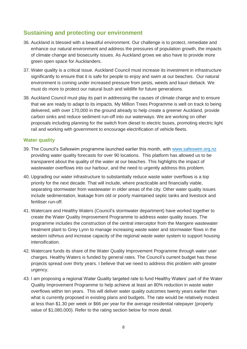## **Sustaining and protecting our environment**

- 36. Auckland is blessed with a beautiful environment. Our challenge is to protect, remediate and enhance our natural environment and address the pressures of population growth, the impacts of climate change and biosecurity issues. As Auckland grows we also have to provide more green open space for Aucklanders.
- 37. Water quality is a critical issue. Auckland Council must increase its investment in infrastructure significantly to ensure that it is safe for people to enjoy and swim at our beaches. Our natural environment is coming under increased pressure from pests, weeds and kauri dieback. We must do more to protect our natural bush and wildlife for future generations.
- 38. Auckland Council must play its part in addressing the causes of climate change and to ensure that we are ready to adapt to its impacts. My Million Trees Programme is well on track to being delivered, with over 170,000 in the ground already to help create a greener Auckland, provide carbon sinks and reduce sediment run-off into our waterways. We are working on other proposals including planning for the switch from diesel to electric buses, promoting electric light rail and working with government to encourage electrification of vehicle fleets.

#### **Water quality**

- 39. The Council's Safeswim programme launched earlier this month, with [www.safeswim.org.nz](http://www.safeswim.org.nz/)  providing water quality forecasts for over 90 locations. This platform has allowed us to be transparent about the quality of the water at our beaches. This highlights the impact of wastewater overflows into our harbour, and the need to urgently address this problem.
- 40. Upgrading our water infrastructure to substantially reduce waste water overflows is a top priority for the next decade. That will include, where practicable and financially viable, separating stormwater from wastewater in older areas of the city. Other water quality issues include sedimentation, leakage from old or poorly maintained septic tanks and livestock and fertiliser run-off.
- 41. Watercare and Healthy Waters (Council's stormwater department) have worked together to create the Water Quality Improvement Programme to address water quality issues. The programme includes the construction of the central interceptor from the Mangere wastewater treatment plant to Grey Lynn to manage increasing waste water and stormwater flows in the western isthmus and increase capacity of the regional waste water system to support housing intensification.
- 42. Watercare funds its share of the Water Quality Improvement Programme through water user charges. Healthy Waters is funded by general rates. The Council's current budget has these projects spread over thirty years. I believe that we need to address this problem with greater urgency.
- 43. I am proposing a regional Water Quality targeted rate to fund Healthy Waters' part of the Water Quality Improvement Programme to help achieve at least an 80% reduction in waste water overflows within ten years. This will deliver water quality outcomes twenty years earlier than what is currently proposed in existing plans and budgets. The rate would be relatively modest at less than \$1.30 per week or \$66 per year for the average residential ratepayer (property value of \$1,080,000). Refer to the rating section below for more detail.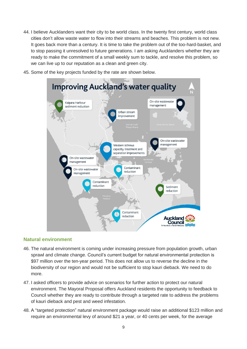- 44. I believe Aucklanders want their city to be world class. In the twenty first century, world class cities don't allow waste water to flow into their streams and beaches. This problem is not new. It goes back more than a century. It is time to take the problem out of the too-hard-basket, and to stop passing it unresolved to future generations. I am asking Aucklanders whether they are ready to make the commitment of a small weekly sum to tackle, and resolve this problem, so we can live up to our reputation as a clean and green city.
- 45. Some of the key projects funded by the rate are shown below.



#### **Natural environment**

- 46. The natural environment is coming under increasing pressure from population growth, urban sprawl and climate change. Council's current budget for natural environmental protection is \$97 million over the ten-year period. This does not allow us to reverse the decline in the biodiversity of our region and would not be sufficient to stop kauri dieback. We need to do more.
- 47. I asked officers to provide advice on scenarios for further action to protect our natural environment. The Mayoral Proposal offers Auckland residents the opportunity to feedback to Council whether they are ready to contribute through a targeted rate to address the problems of kauri dieback and pest and weed infestation.
- 48. A "targeted protection" natural environment package would raise an additional \$123 million and require an environmental levy of around \$21 a year, or 40 cents per week, for the average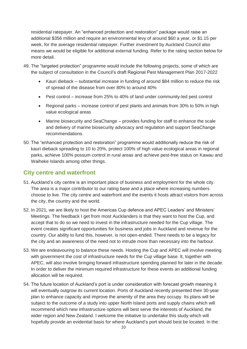residential ratepayer. An "enhanced protection and restoration" package would raise an additional \$356 million and require an environmental levy of around \$60 a year, or \$1.15 per week, for the average residential ratepayer. Further investment by Auckland Council also means we would be eligible for additional external funding. Refer to the rating section below for more detail.

- 49. The "targeted protection" programme would include the following projects, some of which are the subject of consultation in the Council's draft Regional Pest Management Plan 2017-2022
	- Kauri dieback substantial increase in funding of around \$84 million to reduce the risk of spread of the disease from over 80% to around 40%
	- Pest control increase from 25% to 40% of land under community-led pest control
	- Regional parks increase control of pest plants and animals from 30% to 50% in high value ecological areas
	- Marine biosecurity and SeaChange provides funding for staff to enhance the scale and delivery of marine biosecurity advocacy and regulation and support SeaChange recommendations.
- 50. The "enhanced protection and restoration" programme would additionally reduce the risk of kauri dieback spreading to 10 to 20%, protect 100% of high value ecological areas in regional parks, achieve 100% possum control in rural areas and achieve pest-free status on Kawau and Waiheke Islands among other things.

## **City centre and waterfront**

- 51. Auckland's city centre is an important place of business and employment for the whole city. The area is a major contributor to our rating base and a place where increasing numbers choose to live. The city centre and waterfront and the events it hosts attract visitors from across the city, the country and the world.
- 52. In 2021, we are likely to host the Americas Cup defence and APEC Leaders' and Ministers' Meetings. The feedback I get from most Aucklanders is that they want to host the Cup, and accept that to do so we need to invest in the infrastructure needed for the Cup village. The event creates significant opportunities for business and jobs in Auckland and revenue for the country. Our ability to fund this, however, is not open-ended. There needs to be a legacy for the city and an awareness of the need not to intrude more than necessary into the harbour.
- 53. We are endeavouring to balance these needs. Hosting the Cup and APEC will involve meeting with government the cost of infrastructure needs for the Cup village base. It, together with APEC, will also involve bringing forward infrastructure spending planned for later in the decade. In order to deliver the minimum required infrastructure for these events an additional funding allocation will be required.
- 54. The future location of Auckland's port is under consideration with forecast growth meaning it will eventually outgrow its current location. Ports of Auckland recently presented their 30-year plan to enhance capacity and improve the amenity of the area they occupy. Its plans will be subject to the outcome of a study into upper North Island ports and supply chains which will recommend which new infrastructure options will best serve the interests of Auckland, the wider region and New Zealand. I welcome the initiative to undertake this study which will hopefully provide an evidential basis for where Auckland's port should best be located. In the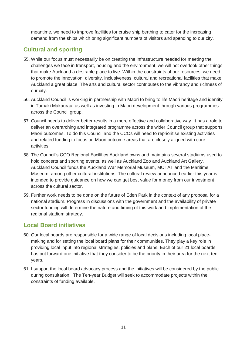meantime, we need to improve facilities for cruise ship berthing to cater for the increasing demand from the ships which bring significant numbers of visitors and spending to our city.

## **Cultural and sporting**

- 55. While our focus must necessarily be on creating the infrastructure needed for meeting the challenges we face in transport, housing and the environment, we will not overlook other things that make Auckland a desirable place to live. Within the constraints of our resources, we need to promote the innovation, diversity, inclusiveness, cultural and recreational facilities that make Auckland a great place. The arts and cultural sector contributes to the vibrancy and richness of our city.
- 56. Auckland Council is working in partnership with Maori to bring to life Maori heritage and identity in Tamaki Makaurau, as well as investing in Maori development through various programmes across the Council group.
- 57. Council needs to deliver better results in a more effective and collaborative way. It has a role to deliver an overarching and integrated programme across the wider Council group that supports Maori outcomes. To do this Council and the CCOs will need to reprioritise existing activities and related funding to focus on Maori outcome areas that are closely aligned with core activities.
- 58. The Council's CCO Regional Facilities Auckland owns and maintains several stadiums used to hold concerts and sporting events, as well as Auckland Zoo and Auckland Art Gallery. Auckland Council funds the Auckland War Memorial Museum, MOTAT and the Maritime Museum, among other cultural institutions. The cultural review announced earlier this year is intended to provide guidance on how we can get best value for money from our investment across the cultural sector.
- 59. Further work needs to be done on the future of Eden Park in the context of any proposal for a national stadium. Progress in discussions with the government and the availability of private sector funding will determine the nature and timing of this work and implementation of the regional stadium strategy.

## **Local Board initiatives**

- 60. Our local boards are responsible for a wide range of local decisions including local placemaking and for setting the local board plans for their communities. They play a key role in providing local input into regional strategies, policies and plans. Each of our 21 local boards has put forward one initiative that they consider to be the priority in their area for the next ten years.
- 61. I support the local board advocacy process and the initiatives will be considered by the public during consultation. The Ten-year Budget will seek to accommodate projects within the constraints of funding available.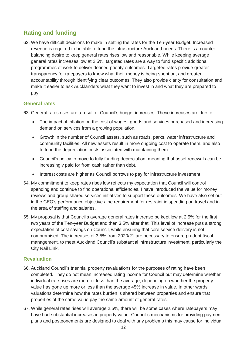## **Rating and funding**

62. We have difficult decisions to make in setting the rates for the Ten-year Budget. Increased revenue is required to be able to fund the infrastructure Auckland needs. There is a counterbalancing desire to keep general rates rises low and reasonable. While keeping average general rates increases low at 2.5%, targeted rates are a way to fund specific additional programmes of work to deliver defined priority outcomes. Targeted rates provide greater transparency for ratepayers to know what their money is being spent on, and greater accountability through identifying clear outcomes. They also provide clarity for consultation and make it easier to ask Aucklanders what they want to invest in and what they are prepared to pay.

#### **General rates**

63. General rates rises are a result of Council's budget increases. These increases are due to:

- The impact of inflation on the cost of wages, goods and services purchased and increasing demand on services from a growing population.
- Growth in the number of Council assets, such as roads, parks, water infrastructure and community facilities. All new assets result in more ongoing cost to operate them, and also to fund the depreciation costs associated with maintaining them.
- Council's policy to move to fully funding depreciation, meaning that asset renewals can be increasingly paid for from cash rather than debt.
- Interest costs are higher as Council borrows to pay for infrastructure investment.
- 64. My commitment to keep rates rises low reflects my expectation that Council will control spending and continue to find operational efficiencies. I have introduced the value for money reviews and group shared services initiatives to support these outcomes. We have also set out in the CEO's performance objectives the requirement for restraint in spending on travel and in the area of staffing and salaries.
- 65. My proposal is that Council's average general rates increase be kept low at 2.5% for the first two years of the Ten-year Budget and then 3.5% after that. This level of increase puts a strong expectation of cost savings on Council, while ensuring that core service delivery is not compromised. The increases of 3.5% from 2020/21 are necessary to ensure prudent fiscal management, to meet Auckland Council's substantial infrastructure investment, particularly the City Rail Link.

#### **Revaluation**

- 66. Auckland Council's triennial property revaluations for the purposes of rating have been completed. They do not mean increased rating income for Council but may determine whether individual rate rises are more or less than the average, depending on whether the property value has gone up more or less than the average 45% increase in value. In other words, valuations determine how the rates burden is shared between properties and ensure that properties of the same value pay the same amount of general rates.
- 67. While general rates rises will average 2.5%, there will be some cases where ratepayers may have had substantial increases in property value. Council's mechanisms for providing payment plans and postponements are designed to deal with any problems this may cause for individual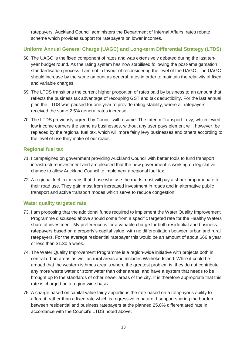ratepayers. Auckland Council administers the Department of Internal Affairs' rates rebate scheme which provides support for ratepayers on lower incomes.

## **Uniform Annual General Charge (UAGC) and Long-term Differential Strategy (LTDS)**

- 68. The UAGC is the fixed component of rates and was extensively debated during the last tenyear budget round. As the rating system has now stabilised following the post-amalgamation standardisation process, I am not in favour of reconsidering the level of the UAGC. The UAGC should increase by the same amount as general rates in order to maintain the relativity of fixed and variable charges.
- 69. The LTDS transitions the current higher proportion of rates paid by business to an amount that reflects the business tax advantage of recouping GST and tax deductibility. For the last annual plan the LTDS was paused for one year to provide rating stability, where all ratepayers received the same 2.5% general rates increase.
- 70. The LTDS previously agreed by Council will resume. The Interim Transport Levy, which levied low income earners the same as businesses, without any user pays element will, however, be replaced by the regional fuel tax, which will more fairly levy businesses and others according to the level of use they make of our roads.

### **Regional fuel tax**

- 71. I campaigned on government providing Auckland Council with better tools to fund transport infrastructure investment and am pleased that the new government is working on legislative change to allow Auckland Council to implement a regional fuel tax.
- 72. A regional fuel tax means that those who use the roads most will pay a share proportionate to their road use. They gain most from increased investment in roads and in alternative public transport and active transport modes which serve to reduce congestion.

## **Water quality targeted rate**

- 73. I am proposing that the additional funds required to implement the Water Quality Improvement Programme discussed above should come from a specific targeted rate for the Healthy Waters' share of investment. My preference is for a variable charge for both residential and business ratepayers based on a property's capital value, with no differentiation between urban and rural ratepayers. For the average residential ratepayer this would be an amount of about \$66 a year or less than \$1.30 a week.
- 74. The Water Quality Improvement Programme is a region-wide initiative with projects both in central urban areas as well as rural areas and includes Waiheke Island. While it could be argued that the western isthmus area is where the greatest problem is, they do not contribute any more waste water or stormwater than other areas, and have a system that needs to be brought up to the standards of other newer areas of the city. It is therefore appropriate that this rate is charged on a region-wide basis.
- 75. A charge based on capital value fairly apportions the rate based on a ratepayer's ability to afford it, rather than a fixed rate which is regressive in nature. I support sharing the burden between residential and business ratepayers at the planned 25.8% differentiated rate in accordance with the Council's LTDS noted above.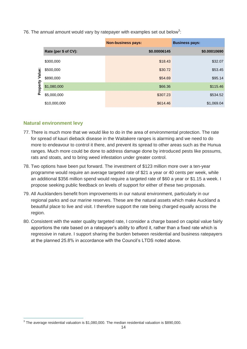76. The annual amount would vary by ratepayer with examples set out below<sup>3</sup>:

|                        |                      | <b>Non-business pays:</b> | <b>Business pays:</b> |
|------------------------|----------------------|---------------------------|-----------------------|
|                        | Rate (per \$ of CV): | \$0.00006145              | \$0.00010690          |
| <br>Value:<br>Property | \$300,000            | \$18.43                   | \$32.07               |
|                        | \$500,000            | \$30.72                   | \$53.45               |
|                        | \$890,000            | \$54.69                   | \$95.14               |
|                        | \$1,080,000          | \$66.36                   | \$115.46              |
|                        | \$5,000,000          | \$307.23                  | \$534.52              |
|                        | \$10,000,000         | \$614.46                  | \$1,069.04            |

#### **Natural environment levy**

 $\overline{a}$ 

- 77. There is much more that we would like to do in the area of environmental protection. The rate for spread of kauri dieback disease in the Waitakere ranges is alarming and we need to do more to endeavour to control it there, and prevent its spread to other areas such as the Hunua ranges. Much more could be done to address damage done by introduced pests like possums, rats and stoats, and to bring weed infestation under greater control.
- 78. Two options have been put forward. The investment of \$123 million more over a ten-year programme would require an average targeted rate of \$21 a year or 40 cents per week, while an additional \$356 million spend would require a targeted rate of \$60 a year or \$1.15 a week. I propose seeking public feedback on levels of support for either of these two proposals.
- 79. All Aucklanders benefit from improvements in our natural environment, particularly in our regional parks and our marine reserves. These are the natural assets which make Auckland a beautiful place to live and visit. I therefore support the rate being charged equally across the region.
- 80. Consistent with the water quality targeted rate, I consider a charge based on capital value fairly apportions the rate based on a ratepayer's ability to afford it, rather than a fixed rate which is regressive in nature. I support sharing the burden between residential and business ratepayers at the planned 25.8% in accordance with the Council's LTDS noted above.

 $3$  The average residential valuation is \$1,080,000. The median residential valuation is \$890,000.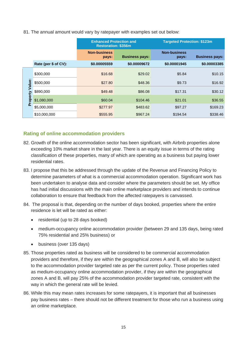#### 81. The annual amount would vary by ratepayer with examples set out below:

|                    |                      | <b>Enhanced Protection and</b><br><b>Restoration: \$356m</b> |                       | <b>Targeted Protection: \$123m</b> |                       |
|--------------------|----------------------|--------------------------------------------------------------|-----------------------|------------------------------------|-----------------------|
|                    |                      | <b>Non-business</b><br>pays:                                 | <b>Business pays:</b> | <b>Non-business</b><br>pays:       | <b>Business pays:</b> |
|                    | Rate (per \$ of CV): | \$0.00005559                                                 | \$0.00009672          | \$0.00001945                       | \$0.00003385          |
| Value:<br>Property | \$300,000            | \$16.68                                                      | \$29.02               | \$5.84                             | \$10.15               |
|                    | \$500,000            | \$27.80                                                      | \$48.36               | \$9.73                             | \$16.92               |
|                    | \$890,000            | \$49.48                                                      | \$86.08               | \$17.31                            | \$30.12               |
|                    | \$1,080,000          | \$60.04                                                      | \$104.46              | \$21.01                            | \$36.55               |
|                    | \$5,000,000          | \$277.97                                                     | \$483.62              | \$97.27                            | \$169.23              |
|                    | \$10,000,000         | \$555.95                                                     | \$967.24              | \$194.54                           | \$338.46              |

#### **Rating of online accommodation providers**

- 82. Growth of the online accommodation sector has been significant, with Airbnb properties alone exceeding 10% market share in the last year. There is an equity issue in terms of the rating classification of these properties, many of which are operating as a business but paying lower residential rates.
- 83. I propose that this be addressed through the update of the Revenue and Financing Policy to determine parameters of what is a commercial accommodation operation. Significant work has been undertaken to analyse data and consider where the parameters should be set. My office has had initial discussions with the main online marketplace providers and intends to continue collaboration to ensure that feedback from the affected ratepayers is canvassed.
- 84. The proposal is that, depending on the number of days booked, properties where the entire residence is let will be rated as either:
	- residential (up to 28 days booked)
	- medium-occupancy online accommodation provider (between 29 and 135 days, being rated 75% residential and 25% business) or
	- business (over 135 days)
- 85. Those properties rated as business will be considered to be commercial accommodation providers and therefore, if they are within the geographical zones A and B, will also be subject to the accommodation provider targeted rate as per the current policy. Those properties rated as medium-occupancy online accommodation provider, if they are within the geographical zones A and B, will pay 25% of the accommodation provider targeted rate, consistent with the way in which the general rate will be levied.
- 86. While this may mean rates increases for some ratepayers, it is important that all businesses pay business rates – there should not be different treatment for those who run a business using an online marketplace.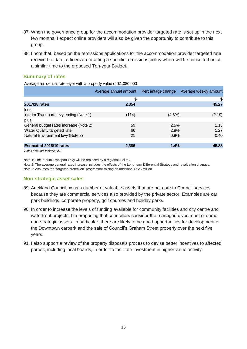- 87. When the governance group for the accommodation provider targeted rate is set up in the next few months, I expect online providers will also be given the opportunity to contribute to this group.
- 88. I note that, based on the remissions applications for the accommodation provider targeted rate received to date, officers are drafting a specific remissions policy which will be consulted on at a similar time to the proposed Ten-year Budget.

#### **Summary of rates**

Average residential ratepayer with a property value of \$1,080,000

|                                        | Average annual amount | Percentage change | Average weekly amount |
|----------------------------------------|-----------------------|-------------------|-----------------------|
|                                        | \$                    |                   | \$                    |
| 2017/18 rates                          | 2,354                 |                   | 45.27                 |
| less:                                  |                       |                   |                       |
| Interim Transport Levy ending (Note 1) | (114)                 | $(4.8\%)$         | (2.19)                |
| plus:                                  |                       |                   |                       |
| General budget rates increase (Note 2) | 59                    | 2.5%              | 1.13                  |
| Water Quality targeted rate            | 66                    | 2.8%              | 1.27                  |
| Natural Environment levy (Note 3)      | 21                    | 0.9%              | 0.40                  |
|                                        |                       |                   |                       |
| <b>Estimated 2018/19 rates</b>         | 2,386                 | 1.4%              | 45.88                 |
| Rates amounts include GST              |                       |                   |                       |

Note 1: The Interim Transport Levy will be replaced by a regional fuel tax.

Note 2: The average general rates increase includes the effects of the Long-term Differential Strategy and revaluation changes.

Note 3: Assumes the "targeted protection" programme raising an additional \$123 million

#### **Non-strategic asset sales**

- 89. Auckland Council owns a number of valuable assets that are not core to Council services because they are commercial services also provided by the private sector. Examples are car park buildings, corporate property, golf courses and holiday parks.
- 90. In order to increase the levels of funding available for community facilities and city centre and waterfront projects, I'm proposing that councillors consider the managed divestment of some non-strategic assets. In particular, there are likely to be good opportunities for development of the Downtown carpark and the sale of Council's Graham Street property over the next five years.
- 91. I also support a review of the property disposals process to devise better incentives to affected parties, including local boards, in order to facilitate investment in higher value activity.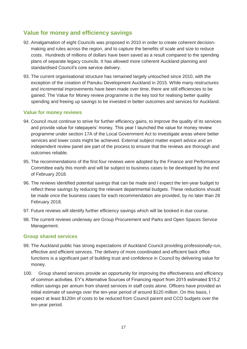## **Value for money and efficiency savings**

- 92. Amalgamation of eight Councils was proposed in 2010 in order to create coherent decisionmaking and rules across the region, and to capture the benefits of scale and size to reduce costs. Hundreds of millions of dollars have been saved as a result compared to the spending plans of separate legacy councils. It has allowed more coherent Auckland planning and standardised Council's core service delivery.
- 93. The current organisational structure has remained largely untouched since 2010, with the exception of the creation of Panuku Development Auckland in 2015. While many restructures and incremental improvements have been made over time, there are still efficiencies to be gained. The Value for Money review programme is the key tool for realising better quality spending and freeing up savings to be invested in better outcomes and services for Auckland.

#### **Value for money reviews**

- 94. Council must continue to strive for further efficiency gains, to improve the quality of its services and provide value for ratepayers' money. This year I launched the value for money review programme under section 17A of the Local Government Act to investigate areas where better services and lower costs might be achieved. External subject matter expert advice and an independent review panel are part of the process to ensure that the reviews are thorough and outcomes reliable.
- 95. The recommendations of the first four reviews were adopted by the Finance and Performance Committee early this month and will be subject to business cases to be developed by the end of February 2018.
- 96. The reviews identified potential savings that can be made and I expect the ten-year budget to reflect these savings by reducing the relevant departmental budgets. These reductions should be made once the business cases for each recommendation are provided, by no later than 28 February 2018.
- 97. Future reviews will identify further efficiency savings which will be booked in due course.
- 98. The current reviews underway are Group Procurement and Parks and Open Spaces Service Management.

#### **Group shared services**

- 99. The Auckland public has strong expectations of Auckland Council providing professionally-run, effective and efficient services. The delivery of more coordinated and efficient back office functions is a significant part of building trust and confidence in Council by delivering value for money.
- 100. Group shared services provide an opportunity for improving the effectiveness and efficiency of common activities. EY's Alternative Sources of Financing report from 2015 estimated \$15.2 million savings per annum from shared services in staff costs alone. Officers have provided an initial estimate of savings over the ten-year period of around \$120 million. On this basis, I expect at least \$120m of costs to be reduced from Council parent and CCO budgets over the ten-year period.